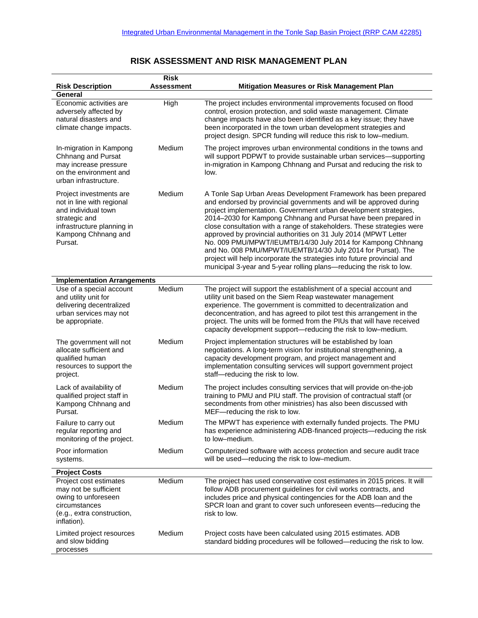## **RISK ASSESSMENT AND RISK MANAGEMENT PLAN**

|                                                                                                                                                              | <b>Risk</b>       |                                                                                                                                                                                                                                                                                                                                                                                                                                                                                                                                                                                                                                                                                                           |  |  |  |
|--------------------------------------------------------------------------------------------------------------------------------------------------------------|-------------------|-----------------------------------------------------------------------------------------------------------------------------------------------------------------------------------------------------------------------------------------------------------------------------------------------------------------------------------------------------------------------------------------------------------------------------------------------------------------------------------------------------------------------------------------------------------------------------------------------------------------------------------------------------------------------------------------------------------|--|--|--|
| <b>Risk Description</b>                                                                                                                                      | <b>Assessment</b> | Mitigation Measures or Risk Management Plan                                                                                                                                                                                                                                                                                                                                                                                                                                                                                                                                                                                                                                                               |  |  |  |
| General<br>Economic activities are<br>adversely affected by<br>natural disasters and<br>climate change impacts.                                              | High              | The project includes environmental improvements focused on flood<br>control, erosion protection, and solid waste management. Climate<br>change impacts have also been identified as a key issue; they have<br>been incorporated in the town urban development strategies and<br>project design. SPCR funding will reduce this risk to low-medium.                                                                                                                                                                                                                                                                                                                                                         |  |  |  |
| In-migration in Kampong<br>Chhnang and Pursat<br>may increase pressure<br>on the environment and<br>urban infrastructure.                                    | Medium            | The project improves urban environmental conditions in the towns and<br>will support PDPWT to provide sustainable urban services-supporting<br>in-migration in Kampong Chhnang and Pursat and reducing the risk to<br>low.                                                                                                                                                                                                                                                                                                                                                                                                                                                                                |  |  |  |
| Project investments are<br>not in line with regional<br>and individual town<br>strategic and<br>infrastructure planning in<br>Kampong Chhnang and<br>Pursat. | Medium            | A Tonle Sap Urban Areas Development Framework has been prepared<br>and endorsed by provincial governments and will be approved during<br>project implementation. Government urban development strategies,<br>2014-2030 for Kampong Chhnang and Pursat have been prepared in<br>close consultation with a range of stakeholders. These strategies were<br>approved by provincial authorities on 31 July 2014 (MPWT Letter<br>No. 009 PMU/MPWT/IEUMTB/14/30 July 2014 for Kampong Chhnang<br>and No. 008 PMU/MPWT/IUEMTB/14/30 July 2014 for Pursat). The<br>project will help incorporate the strategies into future provincial and<br>municipal 3-year and 5-year rolling plans—reducing the risk to low. |  |  |  |
| <b>Implementation Arrangements</b>                                                                                                                           |                   |                                                                                                                                                                                                                                                                                                                                                                                                                                                                                                                                                                                                                                                                                                           |  |  |  |
| Use of a special account<br>and utility unit for<br>delivering decentralized<br>urban services may not<br>be appropriate.                                    | Medium            | The project will support the establishment of a special account and<br>utility unit based on the Siem Reap wastewater management<br>experience. The government is committed to decentralization and<br>deconcentration, and has agreed to pilot test this arrangement in the<br>project. The units will be formed from the PIUs that will have received<br>capacity development support-reducing the risk to low-medium.                                                                                                                                                                                                                                                                                  |  |  |  |
| The government will not<br>allocate sufficient and<br>qualified human<br>resources to support the<br>project.                                                | Medium            | Project implementation structures will be established by loan<br>negotiations. A long-term vision for institutional strengthening, a<br>capacity development program, and project management and<br>implementation consulting services will support government project<br>staff-reducing the risk to low.                                                                                                                                                                                                                                                                                                                                                                                                 |  |  |  |
| Lack of availability of<br>qualified project staff in<br>Kampong Chhnang and<br>Pursat.                                                                      | Medium            | The project includes consulting services that will provide on-the-job<br>training to PMU and PIU staff. The provision of contractual staff (or<br>secondments from other ministries) has also been discussed with<br>MEF-reducing the risk to low.                                                                                                                                                                                                                                                                                                                                                                                                                                                        |  |  |  |
| Failure to carry out<br>regular reporting and<br>monitoring of the project.                                                                                  | Medium            | The MPWT has experience with externally funded projects. The PMU<br>has experience administering ADB-financed projects-reducing the risk<br>to low-medium.                                                                                                                                                                                                                                                                                                                                                                                                                                                                                                                                                |  |  |  |
| Poor information<br>systems.                                                                                                                                 | Medium            | Computerized software with access protection and secure audit trace<br>will be used-reducing the risk to low-medium.                                                                                                                                                                                                                                                                                                                                                                                                                                                                                                                                                                                      |  |  |  |
| <b>Project Costs</b>                                                                                                                                         |                   |                                                                                                                                                                                                                                                                                                                                                                                                                                                                                                                                                                                                                                                                                                           |  |  |  |
| Project cost estimates<br>may not be sufficient<br>owing to unforeseen<br>circumstances<br>(e.g., extra construction,<br>inflation).                         | Medium            | The project has used conservative cost estimates in 2015 prices. It will<br>follow ADB procurement guidelines for civil works contracts, and<br>includes price and physical contingencies for the ADB loan and the<br>SPCR loan and grant to cover such unforeseen events-reducing the<br>risk to low.                                                                                                                                                                                                                                                                                                                                                                                                    |  |  |  |
| Limited project resources<br>and slow bidding<br>processes                                                                                                   | Medium            | Project costs have been calculated using 2015 estimates. ADB<br>standard bidding procedures will be followed-reducing the risk to low.                                                                                                                                                                                                                                                                                                                                                                                                                                                                                                                                                                    |  |  |  |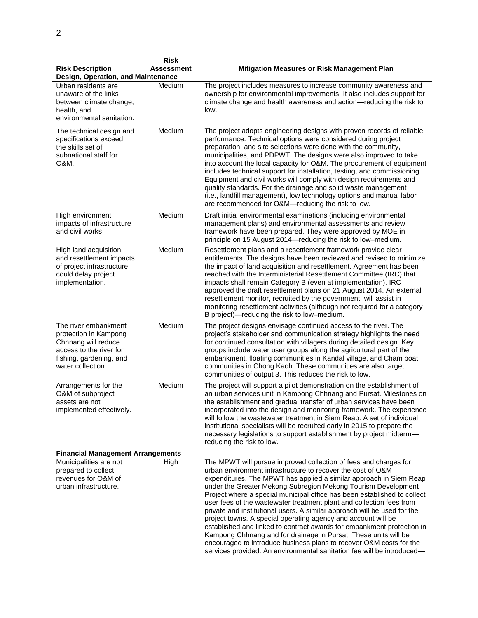| <b>Risk Description</b>                                                                                                                         | <b>Risk</b><br><b>Assessment</b> | Mitigation Measures or Risk Management Plan                                                                                                                                                                                                                                                                                                                                                                                                                                                                                                                                                                                                                                                                                                                                                                                                                           |
|-------------------------------------------------------------------------------------------------------------------------------------------------|----------------------------------|-----------------------------------------------------------------------------------------------------------------------------------------------------------------------------------------------------------------------------------------------------------------------------------------------------------------------------------------------------------------------------------------------------------------------------------------------------------------------------------------------------------------------------------------------------------------------------------------------------------------------------------------------------------------------------------------------------------------------------------------------------------------------------------------------------------------------------------------------------------------------|
| Design, Operation, and Maintenance                                                                                                              |                                  |                                                                                                                                                                                                                                                                                                                                                                                                                                                                                                                                                                                                                                                                                                                                                                                                                                                                       |
| Urban residents are<br>unaware of the links<br>between climate change,<br>health, and<br>environmental sanitation.                              | Medium                           | The project includes measures to increase community awareness and<br>ownership for environmental improvements. It also includes support for<br>climate change and health awareness and action-reducing the risk to<br>low.                                                                                                                                                                                                                                                                                                                                                                                                                                                                                                                                                                                                                                            |
| The technical design and<br>specifications exceed<br>the skills set of<br>subnational staff for<br>O&M.                                         | Medium                           | The project adopts engineering designs with proven records of reliable<br>performance. Technical options were considered during project<br>preparation, and site selections were done with the community,<br>municipalities, and PDPWT. The designs were also improved to take<br>into account the local capacity for O&M. The procurement of equipment<br>includes technical support for installation, testing, and commissioning.<br>Equipment and civil works will comply with design requirements and<br>quality standards. For the drainage and solid waste management<br>(i.e., landfill management), low technology options and manual labor<br>are recommended for O&M-reducing the risk to low.                                                                                                                                                              |
| High environment<br>impacts of infrastructure<br>and civil works.                                                                               | Medium                           | Draft initial environmental examinations (including environmental<br>management plans) and environmental assessments and review<br>framework have been prepared. They were approved by MOE in<br>principle on 15 August 2014-reducing the risk to low-medium.                                                                                                                                                                                                                                                                                                                                                                                                                                                                                                                                                                                                         |
| High land acquisition<br>and resettlement impacts<br>of project infrastructure<br>could delay project<br>implementation.                        | Medium                           | Resettlement plans and a resettlement framework provide clear<br>entitlements. The designs have been reviewed and revised to minimize<br>the impact of land acquisition and resettlement. Agreement has been<br>reached with the Interministerial Resettlement Committee (IRC) that<br>impacts shall remain Category B (even at implementation). IRC<br>approved the draft resettlement plans on 21 August 2014. An external<br>resettlement monitor, recruited by the government, will assist in<br>monitoring resettlement activities (although not required for a category<br>B project)-reducing the risk to low-medium.                                                                                                                                                                                                                                          |
| The river embankment<br>protection in Kampong<br>Chhnang will reduce<br>access to the river for<br>fishing, gardening, and<br>water collection. | Medium                           | The project designs envisage continued access to the river. The<br>project's stakeholder and communication strategy highlights the need<br>for continued consultation with villagers during detailed design. Key<br>groups include water user groups along the agricultural part of the<br>embankment, floating communities in Kandal village, and Cham boat<br>communities in Chong Kaoh. These communities are also target<br>communities of output 3. This reduces the risk to low.                                                                                                                                                                                                                                                                                                                                                                                |
| Arrangements for the<br>O&M of subproject<br>assets are not<br>implemented effectively.                                                         | Medium                           | The project will support a pilot demonstration on the establishment of<br>an urban services unit in Kampong Chhnang and Pursat. Milestones on<br>the establishment and gradual transfer of urban services have been<br>incorporated into the design and monitoring framework. The experience<br>will follow the wastewater treatment in Siem Reap. A set of individual<br>institutional specialists will be recruited early in 2015 to prepare the<br>necessary legislations to support establishment by project midterm-<br>reducing the risk to low.                                                                                                                                                                                                                                                                                                                |
| <b>Financial Management Arrangements</b>                                                                                                        |                                  |                                                                                                                                                                                                                                                                                                                                                                                                                                                                                                                                                                                                                                                                                                                                                                                                                                                                       |
| Municipalities are not<br>prepared to collect<br>revenues for O&M of<br>urban infrastructure.                                                   | High                             | The MPWT will pursue improved collection of fees and charges for<br>urban environment infrastructure to recover the cost of O&M<br>expenditures. The MPWT has applied a similar approach in Siem Reap<br>under the Greater Mekong Subregion Mekong Tourism Development<br>Project where a special municipal office has been established to collect<br>user fees of the wastewater treatment plant and collection fees from<br>private and institutional users. A similar approach will be used for the<br>project towns. A special operating agency and account will be<br>established and linked to contract awards for embankment protection in<br>Kampong Chhnang and for drainage in Pursat. These units will be<br>encouraged to introduce business plans to recover O&M costs for the<br>services provided. An environmental sanitation fee will be introduced— |